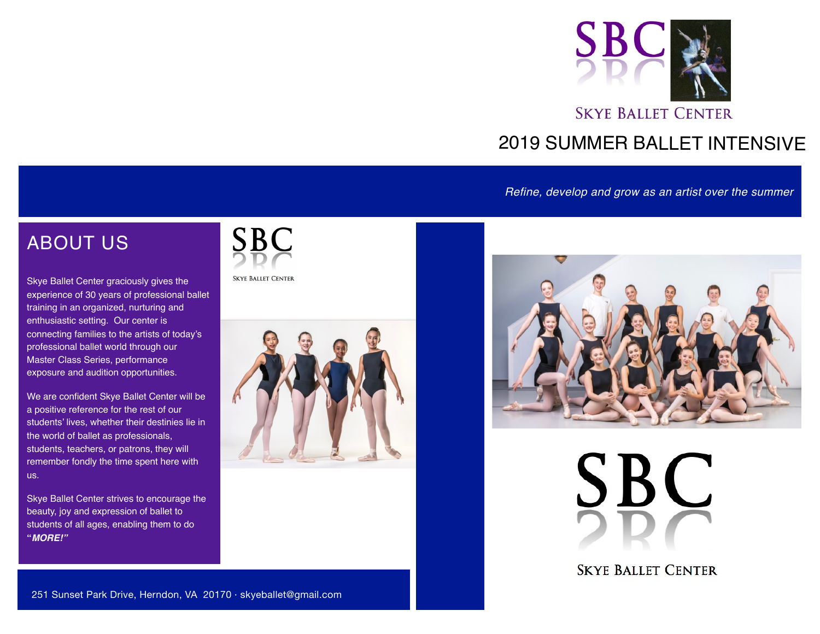

## 2019 SUMMER BALLET INTENSIVE

*Refine, develop and grow as an artist over the summer*

## ABOUT US

Skye Ballet Center graciously gives the experience of 30 years of professional ballet training in an organized, nurturing and enthusiastic setting. Our center is connecting families to the artists of today's professional ballet world through our Master Class Series, performance exposure and audition opportunities.

We are confident Skye Ballet Center will be a positive reference for the rest of our students' lives, whether their destinies lie in the world of ballet as professionals, students, teachers, or patrons, they will remember fondly the time spent here with us.

Skye Ballet Center strives to encourage the beauty, joy and expression of ballet to students of all ages, enabling them to do **"***MORE!"*



**SKYE BALLET CENTER** 





**SBC** 

**SKYE BALLET CENTER**